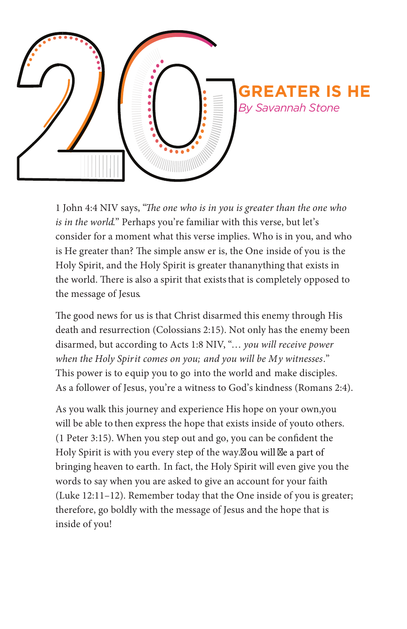

1 John 4:4 NIV says, "The one who is in you is greater than the one who *is in the world*." Perhaps you're familiar with this verse, but let's consider for a moment what this verse implies. Who is in you, and who is He greater than? The simple answ er is, the One inside of you is the Holy Spirit, and the Holy Spirit is greater than anything that exists in the world. There is also a spirit that exists that is completely opposed to the message of Jesus.

The good news for us is that Christ disarmed this enemy through His death and resurrection (Colossians 2:15). Not only has the enemy been disarmed, but according to Acts 1:8 NIV, "… *you will receive power when the Holy Spirit comes on you; and you will be My witnesses*." This power is to equip you to go into the world and make disciples. As a follower of Jesus, you're a witness to God's kindness (Romans 2:4).

As you walk this journey and experience His hope on your own, you will be able to then express the hope that exists inside of youto others.  $(1$  Peter 3:15). When you step out and go, you can be confident the Holy Spirit is with you every step of the way.<sup>[2]</sup> Ou will  $\mathbb{Z}_e$  a part of bringing heaven to earth. In fact, the Holy Spirit will even give you the words to say when you are asked to give an account for your faith (Luke 12:11–12). Remember today that the One inside of you is greater; therefore, go boldly with the message of Jesus and the hope that is inside of you!